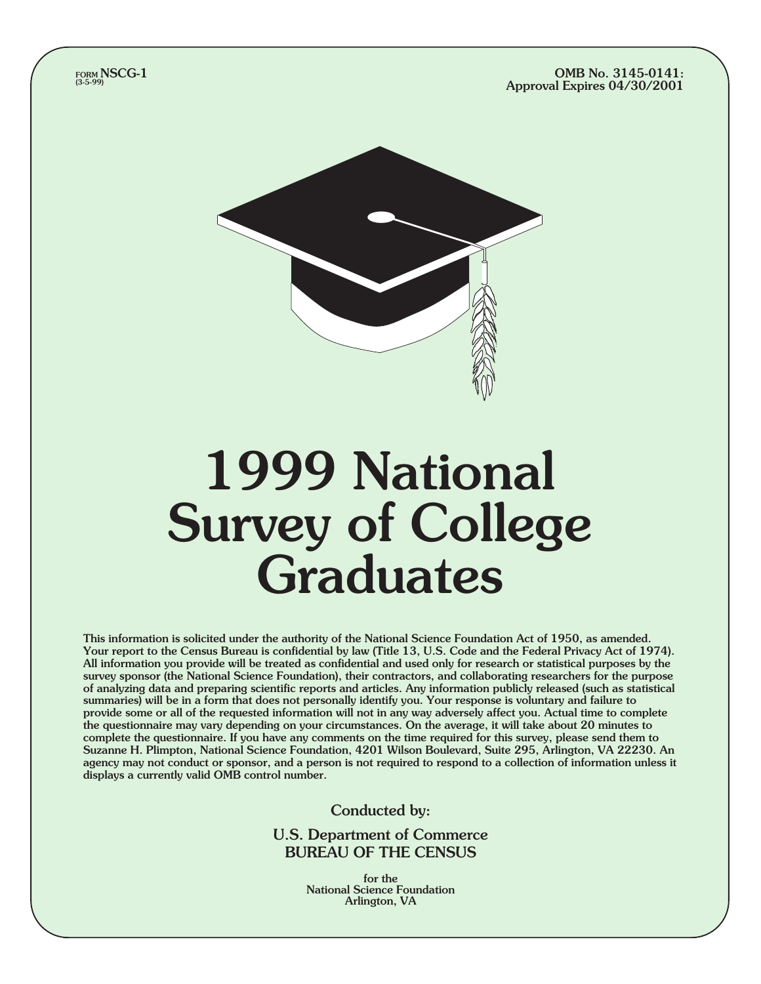FORM **NSCG-1**<br>(3-5-99)

OMB No. 3145-0141: Approval Expires 04/30/2001



# 1999 National Survey of College Graduates

This information is solicited under the authority of the National Science Foundation Act of 1950, as amended. Your report to the Census Bureau is confidential by law (Title 13, U.S. Code and the Federal Privacy Act of 1974). All information you provide will be treated as confidential and used only for research or statistical purposes by the survey sponsor (the National Science Foundation), their contractors, and collaborating researchers for the purpose of analyzing data and preparing scientific reports and articles. Any information publicly released (such as statistical summaries) will be in a form that does not personally identify you. Your response is voluntary and failure to provide some or all of the requested information will not in any way adversely affect you. Actual time to complete the questionnaire may vary depending on your circumstances. On the average, it will take about 20 minutes to complete the questionnaire. If you have any comments on the time required for this survey, please send them to Suzanne H. Plimpton, National Science Foundation, 4201 Wilson Boulevard, Suite 295, Arlington, VA 22230. An agency may not conduct or sponsor, and a person is not required to respond to a collection of information unless it displays a currently valid OMB control number.

Conducted by:

U.S. Department of Commerce BUREAU OF THE CENSUS

> for the National Science Foundation Arlington, VA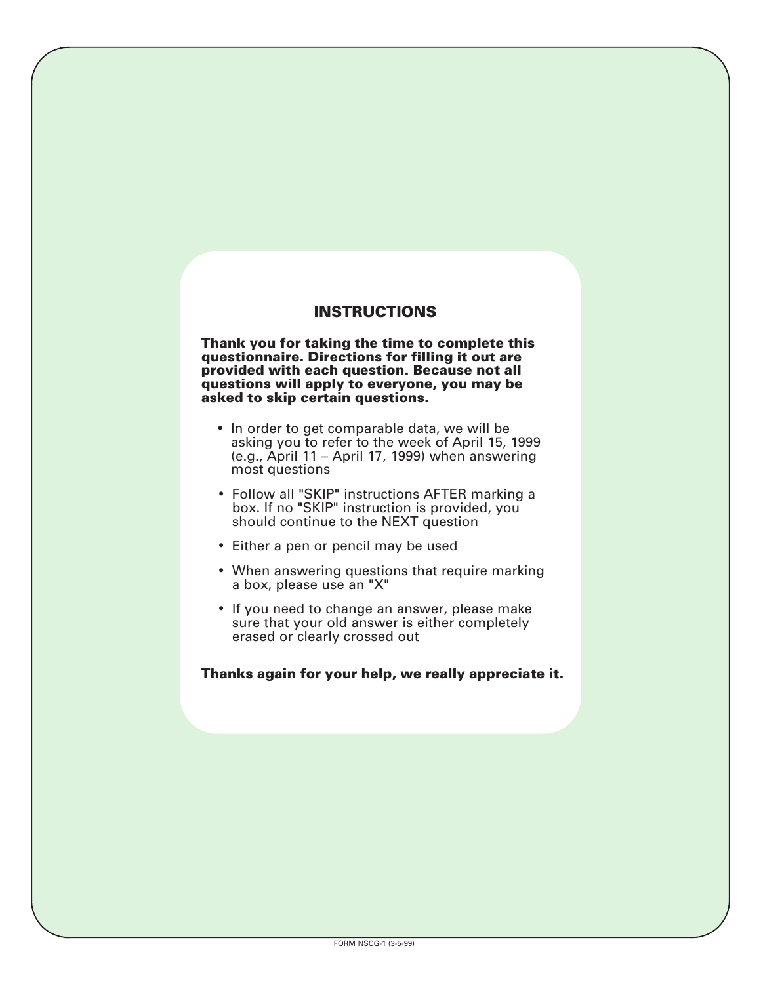#### **INSTRUCTIONS**

**Thank you for taking the time to complete this questionnaire. Directions for filling it out are provided with each question. Because not all questions will apply to everyone, you may be asked to skip certain questions.**

- In order to get comparable data, we will be asking you to refer to the week of April 15, 1999 (e.g., April 11 – April 17, 1999) when answering most questions
- Follow all "SKIP" instructions AFTER marking a box. If no "SKIP" instruction is provided, you should continue to the NEXT question
- Either a pen or pencil may be used
- When answering questions that require marking a box, please use an "X"
- If you need to change an answer, please make sure that your old answer is either completely erased or clearly crossed out

#### **Thanks again for your help, we really appreciate it.**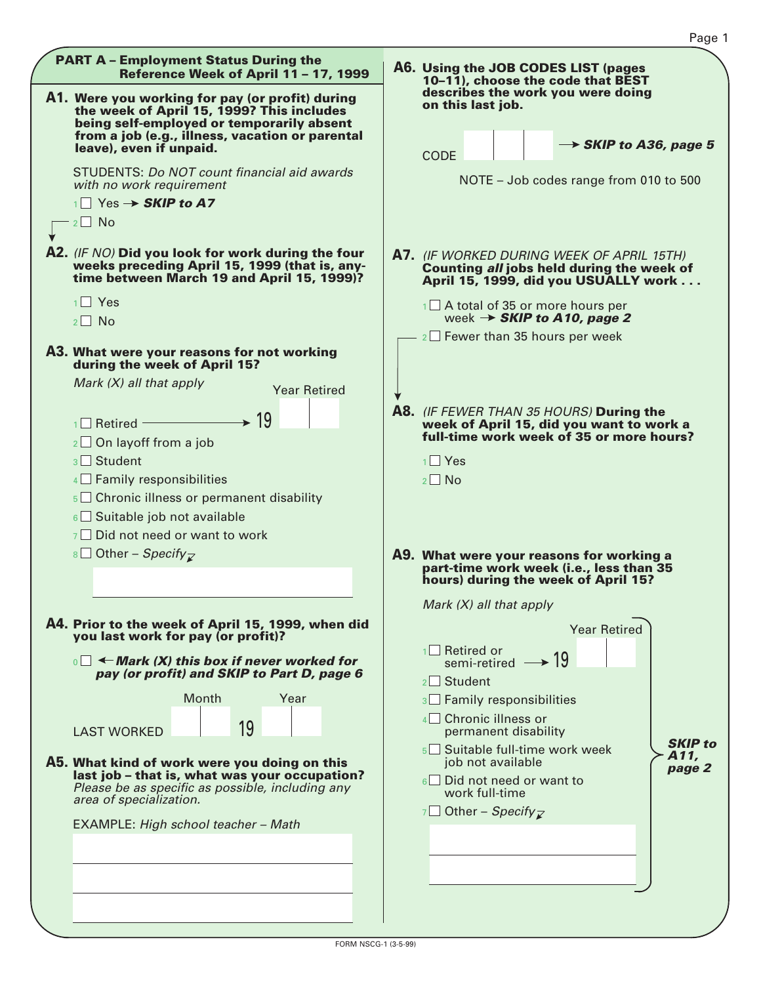**PART A – Employment Status During the Reference Week of April 11 – 17, 1999** Mark (X) all that apply LAST WORKED **Using the JOB CODES LIST (pages A6. 10–11), choose the code that BEST describes the work you were doing on this last job.**  $\Box$  Yes  $\rightarrow$  **SKIP to A7** 2□ No Page 1 **A1. Were you working for pay (or profit) during** CODE **A2.** (IF NO) **Did you look for work during the four**  $1 \square$  Yes  $2 \Box$  No **A3. What were your reasons for not working** 19 Month Year  $1 \square$  Retired  $_2\square$  On layoff from a job  $_3\Box$  Student  $4\Box$  Family responsibilities  $_5\Box$  Chronic illness or permanent disability  $_6\square$  Suitable job not available  $7 \Box$  Did not need or want to work  $8\Box$  Other – *Specify*  $\rightarrow$  SKIP to A36, page 5  $\rightarrow$  19 Year Retired 0 **Mark (X) this box if never worked for** NOTE – Job codes range from 010 to 500 **the week of April 15, 1999? This includes being self-employed or temporarily absent from a job (e.g., illness, vacation or parental leave), even if unpaid.** STUDENTS: Do NOT count financial aid awards with no work requirement **weeks preceding April 15, 1999 (that is, anytime between March 19 and April 15, 1999)? during the week of April 15? Prior to the week of April 15, 1999, when did A4. you last work for pay (or profit)? pay (or profit) and SKIP to Part D, page 6 What kind of work were you doing on this A5. last job – that is, what was your occupation?** Please be as specific as possible, including any area of specialization. EXAMPLE: High school teacher – Math **A7.** (IF WORKED DURING WEEK OF APRIL 15TH) **Counting all jobs held during the week of April 15, 1999, did you USUALLY work . . .** (IF FEWER THAN 35 HOURS) **During the A8. week of April 15, did you want to work a full-time work week of 35 or more hours?**  $1 \square$  A total of 35 or more hours per week  $\rightarrow$  **SKIP to A10, page 2**  $_2\Box$  Fewer than 35 hours per week 1□ Yes No 2 **What were your reasons for working a A9. part-time work week (i.e., less than 35 hours) during the week of April 15?**  $1\Box$  Retired or semi-retired → 19  $_4\Box$  Chronic illness or permanent disability Mark  $(X)$  all that apply  $_5\Box$  Suitable full-time work week job not available  $_6\Box$  Did not need or want to work full-time  $\sigma$   $\Box$  Other – *Specify* **SKIP to A11, page 2** 2□ Student  $\mathbb{I} \, \Box$  Family responsibilities Year Retired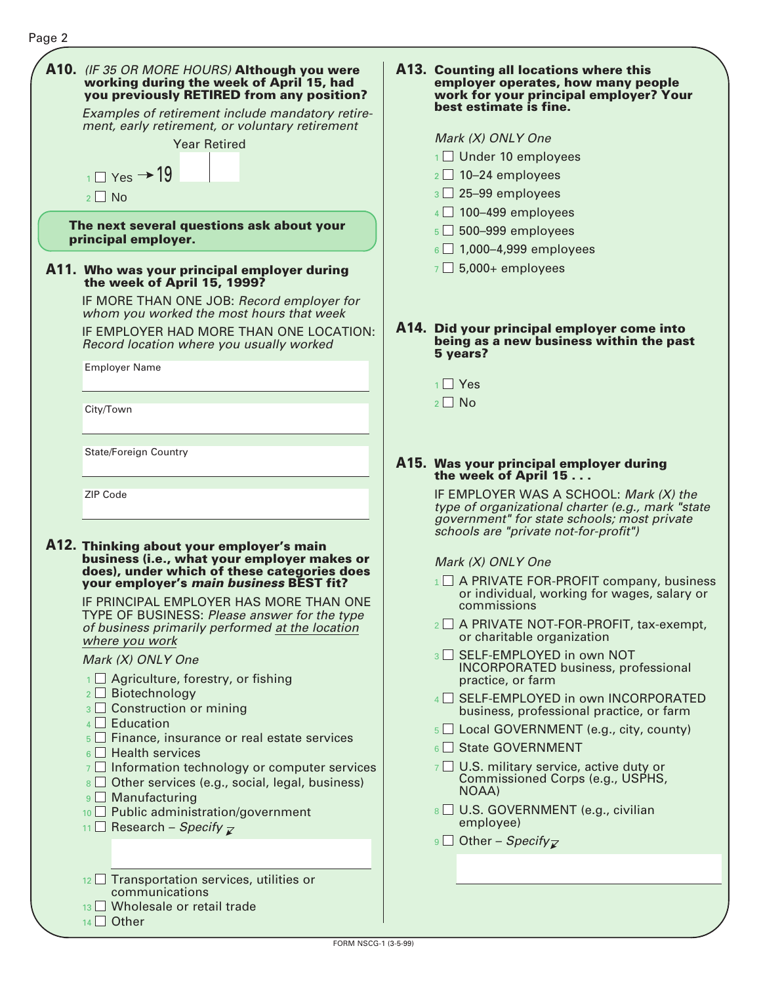| A10. (IF 35 OR MORE HOURS) Although you were<br>working during the week of April 15, had<br>you previously RETIRED from any position? | A13. Counting all locations where this<br>employer operates, how many people<br>work for your principal employer? Your                                                              |
|---------------------------------------------------------------------------------------------------------------------------------------|-------------------------------------------------------------------------------------------------------------------------------------------------------------------------------------|
| Examples of retirement include mandatory retire-<br>ment, early retirement, or voluntary retirement                                   | best estimate is fine.                                                                                                                                                              |
| <b>Year Retired</b>                                                                                                                   | Mark (X) ONLY One                                                                                                                                                                   |
|                                                                                                                                       | $1$ Under 10 employees                                                                                                                                                              |
| $_{1}$ $\Box$ Yes $\rightarrow$ 19                                                                                                    | $2 \square$ 10-24 employees                                                                                                                                                         |
| $2 \square$ No                                                                                                                        | $3\Box$ 25-99 employees                                                                                                                                                             |
|                                                                                                                                       | $4\Box$ 100-499 employees                                                                                                                                                           |
| The next several questions ask about your<br>principal employer.                                                                      | $5\Box$ 500-999 employees                                                                                                                                                           |
|                                                                                                                                       | $6\Box$ 1,000-4,999 employees                                                                                                                                                       |
| A11. Who was your principal employer during<br>the week of April 15, 1999?                                                            | $7\Box$ 5,000+ employees                                                                                                                                                            |
| IF MORE THAN ONE JOB: Record employer for<br>whom you worked the most hours that week                                                 |                                                                                                                                                                                     |
| IF EMPLOYER HAD MORE THAN ONE LOCATION:<br>Record location where you usually worked                                                   | A14. Did your principal employer come into<br>being as a new business within the past<br>5 years?                                                                                   |
| <b>Employer Name</b>                                                                                                                  |                                                                                                                                                                                     |
|                                                                                                                                       | $1$ Yes                                                                                                                                                                             |
| City/Town                                                                                                                             | $2 \square$ No                                                                                                                                                                      |
| <b>State/Foreign Country</b>                                                                                                          | A15. Was your principal employer during                                                                                                                                             |
|                                                                                                                                       | the week of April 15                                                                                                                                                                |
| <b>ZIP Code</b>                                                                                                                       | IF EMPLOYER WAS A SCHOOL: Mark (X) the<br>type of organizational charter (e.g., mark "state<br>government" for state schools; most private<br>schools are "private not-for-profit") |
| A12. Thinking about your employer's main<br>business (i.e., what your employer makes or                                               | Mark (X) ONLY One                                                                                                                                                                   |
| does), under which of these categories does<br>your employer's main business BEST fit?<br>IF PRINCIPAL EMPLOYER HAS MORE THAN ONE     | $\text{1} \square$ A PRIVATE FOR-PROFIT company, business<br>or individual, working for wages, salary or                                                                            |
| TYPE OF BUSINESS: Please answer for the type<br>of business primarily performed at the location                                       | commissions<br>$2 \square$ A PRIVATE NOT-FOR-PROFIT, tax-exempt,<br>or charitable organization                                                                                      |
| where you work                                                                                                                        | 3 SELF-EMPLOYED in own NOT                                                                                                                                                          |
| Mark (X) ONLY One<br>$\frac{1}{1}$ Agriculture, forestry, or fishing                                                                  | <b>INCORPORATED business, professional</b><br>practice, or farm                                                                                                                     |
| $2 \Box$ Biotechnology<br>3 Construction or mining                                                                                    | 4 SELF-EMPLOYED in own INCORPORATED<br>business, professional practice, or farm                                                                                                     |
| $4 \Box$ Education<br>$5\Box$ Finance, insurance or real estate services                                                              | 5 Local GOVERNMENT (e.g., city, county)                                                                                                                                             |
| $6 \Box$ Health services                                                                                                              | <b>State GOVERNMENT</b><br>$6 \mid \mid$                                                                                                                                            |
| $\overline{z}$ Information technology or computer services<br>8 Other services (e.g., social, legal, business)                        | $7 \square$ U.S. military service, active duty or<br>Commissioned Corps (e.g., USPHS,<br>NOAA)                                                                                      |
| $9 \Box$ Manufacturing<br>10 Public administration/government                                                                         | 8 □ U.S. GOVERNMENT (e.g., civilian<br>employee)                                                                                                                                    |
| 11 <b>Exerch</b> – <i>Specify</i> $\overline{z}$                                                                                      | 9 Other – Specify $\mathbb{Z}$                                                                                                                                                      |
| $12 \square$ Transportation services, utilities or                                                                                    |                                                                                                                                                                                     |
| communications                                                                                                                        |                                                                                                                                                                                     |
| 13 Wholesale or retail trade                                                                                                          |                                                                                                                                                                                     |
| $14$ Other                                                                                                                            |                                                                                                                                                                                     |

Page 2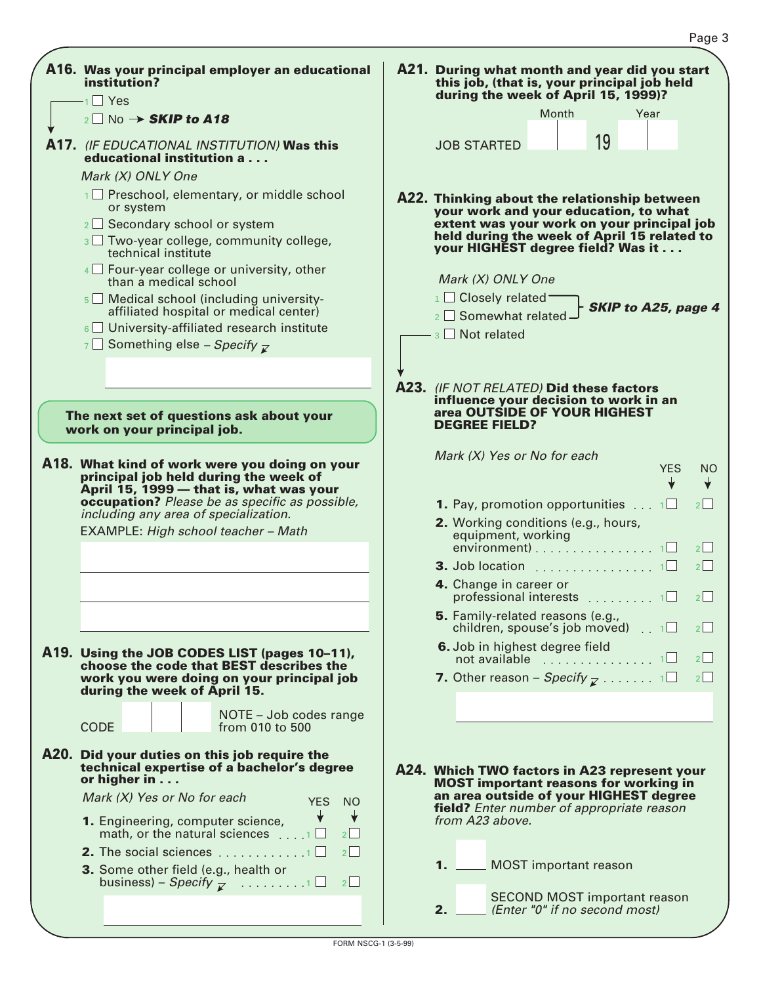| A16. Was your principal employer an educational<br>institution?                     | A21. During what month and year did you start<br>this job, (that is, your principal job held<br>during the week of April 15, 1999)? |       |                               |                                     |           |
|-------------------------------------------------------------------------------------|-------------------------------------------------------------------------------------------------------------------------------------|-------|-------------------------------|-------------------------------------|-----------|
| -1 □ Yes                                                                            |                                                                                                                                     | Month |                               | Year                                |           |
| $_2$ No $\rightarrow$ SKIP to A18                                                   |                                                                                                                                     |       |                               |                                     |           |
| A17. (IF EDUCATIONAL INSTITUTION) Was this<br>educational institution a             | <b>JOB STARTED</b>                                                                                                                  |       | 19                            |                                     |           |
| Mark (X) ONLY One                                                                   |                                                                                                                                     |       |                               |                                     |           |
| 1 Preschool, elementary, or middle school<br>or system                              | A22. Thinking about the relationship between<br>your work and your education, to what                                               |       |                               |                                     |           |
| 2 □ Secondary school or system                                                      | extent was your work on your principal job                                                                                          |       |                               |                                     |           |
| 3 Two-year college, community college,<br>technical institute                       | held during the week of April 15 related to<br>your HIGHEST degree field? Was it                                                    |       |                               |                                     |           |
| $4\Box$ Four-year college or university, other<br>than a medical school             | Mark (X) ONLY One                                                                                                                   |       |                               |                                     |           |
| $\overline{5}$ Medical school (including university-                                | 1 Closely related                                                                                                                   |       |                               | SKIP to A25, page 4                 |           |
| affiliated hospital or medical center)                                              | 2 □ Somewhat related                                                                                                                |       |                               |                                     |           |
| $6\Box$ University-affiliated research institute                                    | - 3 □ Not related                                                                                                                   |       |                               |                                     |           |
| $\overline{z}$ Something else – Specify $\overline{z}$                              |                                                                                                                                     |       |                               |                                     |           |
|                                                                                     |                                                                                                                                     |       |                               |                                     |           |
|                                                                                     | A23. (IF NOT RELATED) Did these factors                                                                                             |       |                               |                                     |           |
|                                                                                     | influence your decision to work in an                                                                                               |       |                               |                                     |           |
| The next set of questions ask about your<br>work on your principal job.             | area OUTSIDE OF YOUR HIGHEST<br><b>DEGREE FIELD?</b>                                                                                |       |                               |                                     |           |
|                                                                                     | Mark (X) Yes or No for each                                                                                                         |       |                               |                                     |           |
| A18. What kind of work were you doing on your                                       |                                                                                                                                     |       |                               | <b>YES</b>                          | <b>NO</b> |
| principal job held during the week of<br>April 15, 1999 - that is, what was your    |                                                                                                                                     |       |                               |                                     |           |
| occupation? Please be as specific as possible,                                      | <b>1.</b> Pay, promotion opportunities $\dots$ 1                                                                                    |       |                               |                                     | 2         |
| including any area of specialization.                                               |                                                                                                                                     |       |                               |                                     |           |
| <b>EXAMPLE: High school teacher - Math</b>                                          | 2. Working conditions (e.g., hours,<br>equipment, working                                                                           |       |                               |                                     |           |
|                                                                                     | $\frac{1}{2}$ environment) 1 $\square$                                                                                              |       |                               |                                     | $2\Box$   |
|                                                                                     | <b>3.</b> Job location $\ldots \ldots \ldots \ldots \ldots \ldots$                                                                  |       |                               |                                     | 2         |
|                                                                                     | 4. Change in career or                                                                                                              |       |                               |                                     |           |
|                                                                                     | professional interests 10                                                                                                           |       |                               |                                     | $2\Box$   |
|                                                                                     | 5. Family-related reasons (e.g.,<br>children, spouse's job moved) $\Box$                                                            |       |                               |                                     | 2         |
| A19. Using the JOB CODES LIST (pages 10-11),                                        | 6. Job in highest degree field<br>not available 1                                                                                   |       |                               |                                     | 2         |
| choose the code that BEST describes the                                             |                                                                                                                                     |       |                               |                                     |           |
| work you were doing on your principal job<br>during the week of April 15.           | <b>7.</b> Other reason – Specify $\mathbb{Z}$ 1                                                                                     |       |                               |                                     | $2\Box$   |
|                                                                                     |                                                                                                                                     |       |                               |                                     |           |
| NOTE - Job codes range                                                              |                                                                                                                                     |       |                               |                                     |           |
| from 010 to 500<br><b>CODE</b>                                                      |                                                                                                                                     |       |                               |                                     |           |
| A20. Did your duties on this job require the                                        |                                                                                                                                     |       |                               |                                     |           |
| technical expertise of a bachelor's degree                                          | A24. Which TWO factors in A23 represent your                                                                                        |       |                               |                                     |           |
| or higher in                                                                        | <b>MOST important reasons for working in</b>                                                                                        |       |                               |                                     |           |
| Mark (X) Yes or No for each<br><b>YES</b><br><sub>NO</sub>                          | an area outside of your HIGHEST degree                                                                                              |       |                               |                                     |           |
| ✦                                                                                   | field? Enter number of appropriate reason<br>from A23 above.                                                                        |       |                               |                                     |           |
| 1. Engineering, computer science,<br>math, or the natural sciences $\ldots$ 1<br>2  |                                                                                                                                     |       |                               |                                     |           |
| 2. The social sciences 1<br>2                                                       |                                                                                                                                     |       |                               |                                     |           |
|                                                                                     | 1.                                                                                                                                  |       | <b>MOST</b> important reason  |                                     |           |
| 3. Some other field (e.g., health or<br>business) – Specify $\bar{z}$ 1<br>$\sim$ 2 |                                                                                                                                     |       |                               |                                     |           |
|                                                                                     |                                                                                                                                     |       |                               | <b>SECOND MOST important reason</b> |           |
|                                                                                     | 2.                                                                                                                                  |       | (Enter "0" if no second most) |                                     |           |
|                                                                                     |                                                                                                                                     |       |                               |                                     |           |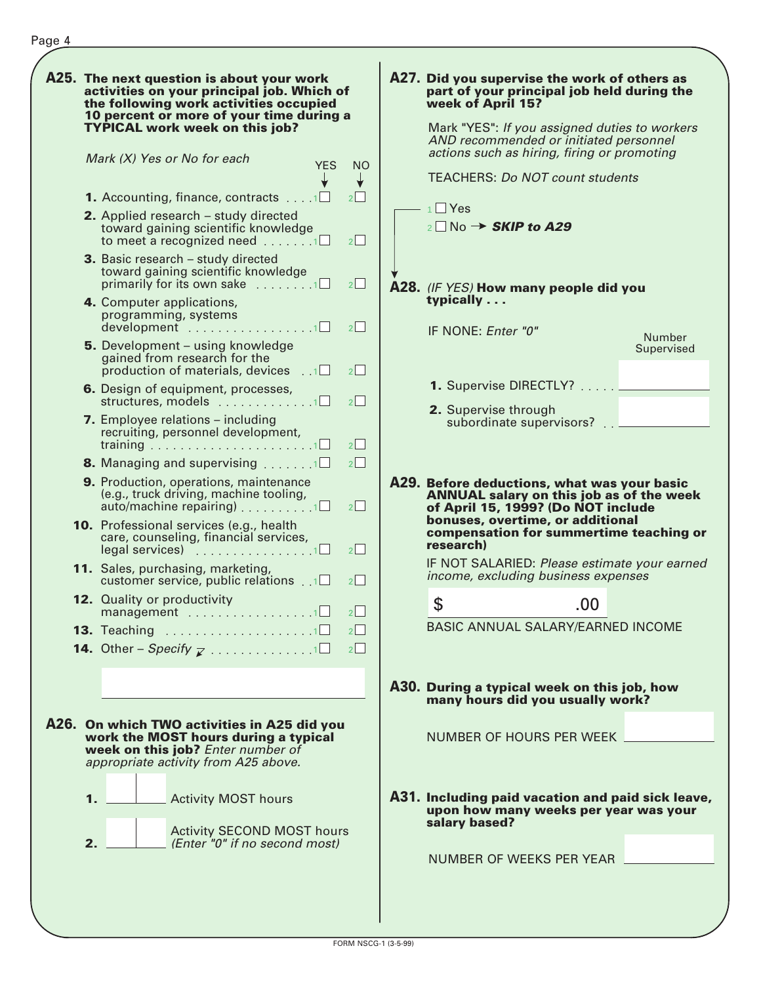|                     | A25. The next question is about your work<br>activities on your principal job. Which of<br>the following work activities occupied<br>10 percent or more of your time during a<br><b>TYPICAL work week on this job?</b><br>Mark (X) Yes or No for each<br><b>YES</b><br><b>1.</b> Accounting, finance, contracts $\dots$ 1<br>2. Applied research – study directed<br>toward gaining scientific knowledge<br>to meet a recognized need $\ldots$ . $\Box$<br><b>3.</b> Basic research – study directed<br>toward gaining scientific knowledge<br>primarily for its own sake $\ldots \ldots \ldots$<br>4. Computer applications,<br>programming, systems<br>development 1 | <b>NO</b><br>✦<br>2<br>$2\Box$<br>$2\Box$<br>$2\Box$ | A27. Did you supervise the work of others as<br>part of your principal job held during the<br>week of April 15?<br>Mark "YES": If you assigned duties to workers<br>AND recommended or initiated personnel<br>actions such as hiring, firing or promoting<br><b>TEACHERS: Do NOT count students</b><br>$-1$ $\Box$ Yes<br>$_2\square$ No $\rightarrow$ SKIP to A29<br>A28. (IF YES) How many people did you<br>typically<br>IF NONE: Enter "0" | Number     |
|---------------------|------------------------------------------------------------------------------------------------------------------------------------------------------------------------------------------------------------------------------------------------------------------------------------------------------------------------------------------------------------------------------------------------------------------------------------------------------------------------------------------------------------------------------------------------------------------------------------------------------------------------------------------------------------------------|------------------------------------------------------|------------------------------------------------------------------------------------------------------------------------------------------------------------------------------------------------------------------------------------------------------------------------------------------------------------------------------------------------------------------------------------------------------------------------------------------------|------------|
|                     | <b>5.</b> Development – using knowledge<br>gained from research for the<br>production of materials, devices 1                                                                                                                                                                                                                                                                                                                                                                                                                                                                                                                                                          | 2                                                    |                                                                                                                                                                                                                                                                                                                                                                                                                                                | Supervised |
|                     | 6. Design of equipment, processes,<br>structures, models 1                                                                                                                                                                                                                                                                                                                                                                                                                                                                                                                                                                                                             | $2\Box$                                              | 1. Supervise DIRECTLY?                                                                                                                                                                                                                                                                                                                                                                                                                         |            |
|                     | 7. Employee relations - including<br>recruiting, personnel development,<br><b>8.</b> Managing and supervising $\ldots \ldots \ldots \square$<br>9. Production, operations, maintenance<br>(e.g., truck driving, machine tooling,<br>auto/machine repairing) 1<br><b>10.</b> Professional services (e.g., health<br>care, counseling, financial services,                                                                                                                                                                                                                                                                                                               | $2\Box$<br>$2\Box$<br>$2\Box$                        | 2. Supervise through<br>subordinate supervisors? ___<br>A29. Before deductions, what was your basic<br><b>ANNUAL salary on this job as of the week</b><br>of April 15, 1999? (Do NOT include<br>bonuses, overtime, or additional<br>compensation for summertime teaching or                                                                                                                                                                    |            |
|                     | 11. Sales, purchasing, marketing,                                                                                                                                                                                                                                                                                                                                                                                                                                                                                                                                                                                                                                      | $2\Box$                                              | research)<br>IF NOT SALARIED: Please estimate your earned                                                                                                                                                                                                                                                                                                                                                                                      |            |
|                     | customer service, public relations 1<br><b>12.</b> Quality or productivity                                                                                                                                                                                                                                                                                                                                                                                                                                                                                                                                                                                             | $2\Box$                                              | income, excluding business expenses                                                                                                                                                                                                                                                                                                                                                                                                            |            |
|                     | management $\ldots \ldots \ldots \ldots \ldots \ldots$                                                                                                                                                                                                                                                                                                                                                                                                                                                                                                                                                                                                                 | $2\Box$                                              | \$<br>.00                                                                                                                                                                                                                                                                                                                                                                                                                                      |            |
|                     | <b>13.</b> Teaching 1<br><b>14.</b> Other – Specify $\vec{r}$ 1 $\Box$                                                                                                                                                                                                                                                                                                                                                                                                                                                                                                                                                                                                 | 2<br>$2\Box$                                         | BASIC ANNUAL SALARY/EARNED INCOME                                                                                                                                                                                                                                                                                                                                                                                                              |            |
|                     |                                                                                                                                                                                                                                                                                                                                                                                                                                                                                                                                                                                                                                                                        |                                                      | A30. During a typical week on this job, how<br>many hours did you usually work?                                                                                                                                                                                                                                                                                                                                                                |            |
|                     | A26. On which TWO activities in A25 did you<br>work the MOST hours during a typical<br>week on this job? Enter number of<br>appropriate activity from A25 above.                                                                                                                                                                                                                                                                                                                                                                                                                                                                                                       |                                                      | NUMBER OF HOURS PER WEEK                                                                                                                                                                                                                                                                                                                                                                                                                       |            |
| $\mathbf 1$ .<br>2. | <b>Activity MOST hours</b><br><b>Activity SECOND MOST hours</b><br>(Enter "0" if no second most)                                                                                                                                                                                                                                                                                                                                                                                                                                                                                                                                                                       |                                                      | A31. Including paid vacation and paid sick leave,<br>upon how many weeks per year was your<br>salary based?                                                                                                                                                                                                                                                                                                                                    |            |
|                     |                                                                                                                                                                                                                                                                                                                                                                                                                                                                                                                                                                                                                                                                        |                                                      | NUMBER OF WEEKS PER YEAR                                                                                                                                                                                                                                                                                                                                                                                                                       |            |
|                     |                                                                                                                                                                                                                                                                                                                                                                                                                                                                                                                                                                                                                                                                        |                                                      |                                                                                                                                                                                                                                                                                                                                                                                                                                                |            |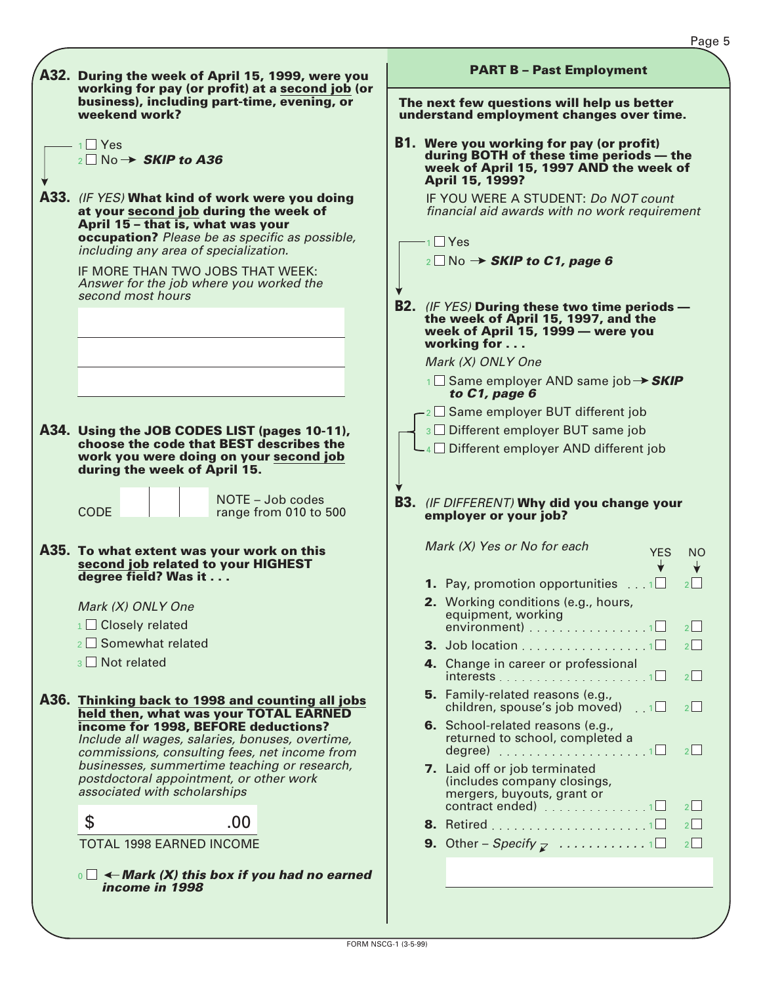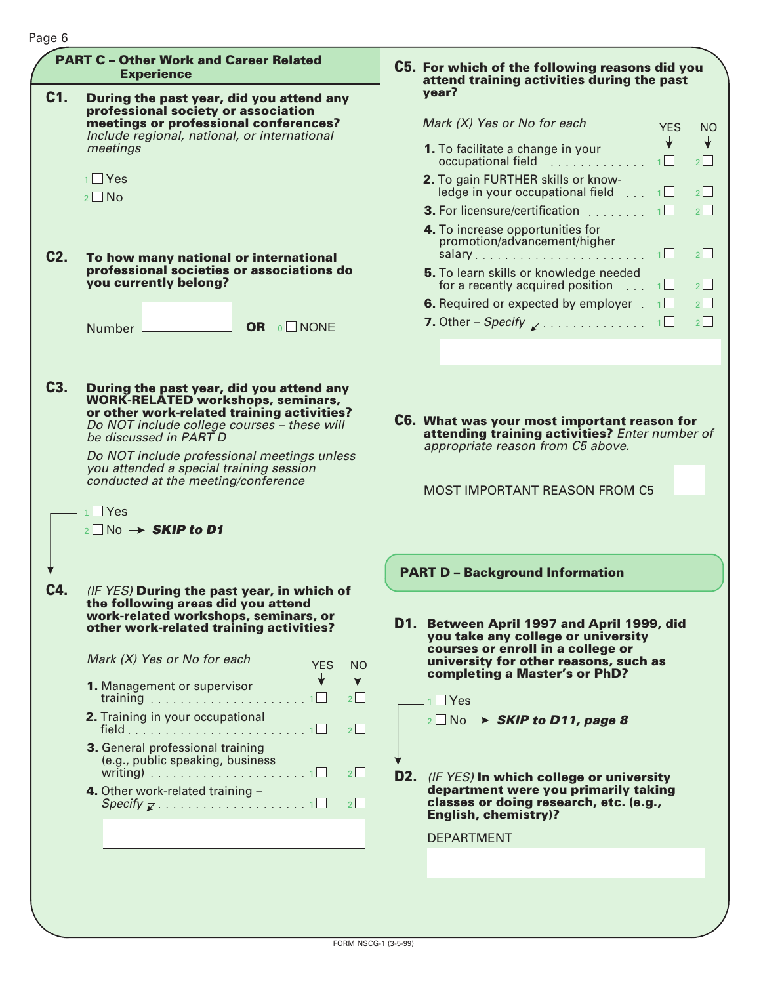| During the past year, did you attend any<br>professional society or association<br>meetings or professional conferences?<br>Include regional, national, or international<br>meetings<br>$1$ $\blacksquare$ Yes<br>$2 \square$ No<br>To how many national or international<br>professional societies or associations do<br>you currently belong?<br>Number <u>■ OR</u> OR O NONE<br>During the past year, did you attend any<br><b>WORK-RELATED workshops, seminars,</b><br>or other work-related training activities?<br>Do NOT include college courses - these will<br>be discussed in PART D<br>Do NOT include professional meetings unless<br>you attended a special training session<br>conducted at the meeting/conference |                                            | attend training activities during the past<br>year?<br>Mark (X) Yes or No for each<br><b>YES</b><br><b>NO</b><br>$\downarrow$ $\downarrow$<br><b>1.</b> To facilitate a change in your<br>occupational field $\begin{array}{ccc} 1 & \sqrt{2} & \sqrt{2} \\ \end{array}$<br>2. To gain FURTHER skills or know-<br>ledge in your occupational field $\Box$ $\Box$<br>$2\Box$<br><b>3.</b> For licensure/certification $\ldots \ldots \ldots$<br>$2\Box$<br>4. To increase opportunities for<br>promotion/advancement/higher<br>$2\Box$<br>5. To learn skills or knowledge needed<br>for a recently acquired position $\ldots$ 1<br>$2\Box$<br>$2\Box$<br><b>6.</b> Required or expected by employer $\Box$<br>$2\Box$<br>C6. What was your most important reason for<br>appropriate reason from C5 above. |
|---------------------------------------------------------------------------------------------------------------------------------------------------------------------------------------------------------------------------------------------------------------------------------------------------------------------------------------------------------------------------------------------------------------------------------------------------------------------------------------------------------------------------------------------------------------------------------------------------------------------------------------------------------------------------------------------------------------------------------|--------------------------------------------|----------------------------------------------------------------------------------------------------------------------------------------------------------------------------------------------------------------------------------------------------------------------------------------------------------------------------------------------------------------------------------------------------------------------------------------------------------------------------------------------------------------------------------------------------------------------------------------------------------------------------------------------------------------------------------------------------------------------------------------------------------------------------------------------------------|
|                                                                                                                                                                                                                                                                                                                                                                                                                                                                                                                                                                                                                                                                                                                                 |                                            | attending training activities? Enter number of                                                                                                                                                                                                                                                                                                                                                                                                                                                                                                                                                                                                                                                                                                                                                           |
|                                                                                                                                                                                                                                                                                                                                                                                                                                                                                                                                                                                                                                                                                                                                 |                                            |                                                                                                                                                                                                                                                                                                                                                                                                                                                                                                                                                                                                                                                                                                                                                                                                          |
| $1$ $\Box$ Yes<br>$_2$ No $\rightarrow$ SKIP to D1                                                                                                                                                                                                                                                                                                                                                                                                                                                                                                                                                                                                                                                                              |                                            | <b>MOST IMPORTANT REASON FROM C5</b>                                                                                                                                                                                                                                                                                                                                                                                                                                                                                                                                                                                                                                                                                                                                                                     |
|                                                                                                                                                                                                                                                                                                                                                                                                                                                                                                                                                                                                                                                                                                                                 |                                            | <b>PART D - Background Information</b>                                                                                                                                                                                                                                                                                                                                                                                                                                                                                                                                                                                                                                                                                                                                                                   |
| the following areas did you attend<br>work-related workshops, seminars, or<br>other work-related training activities?<br>Mark (X) Yes or No for each<br><b>YES</b><br>1. Management or supervisor<br>2. Training in your occupational<br>3. General professional training<br>(e.g., public speaking, business<br>writing) $\ldots$ $\ldots$ $\ldots$ $\ldots$ $\ldots$ $\ldots$<br>4. Other work-related training -                                                                                                                                                                                                                                                                                                             |                                            | D1. Between April 1997 and April 1999, did<br>you take any college or university<br>courses or enroll in a college or<br>university for other reasons, such as<br>completing a Master's or PhD?<br>$\overline{\phantom{a}}$ 1 $\Box$ Yes<br>$_2\Box$ No $\rightarrow$ SKIP to D11, page 8<br><b>D2.</b> (IF YES) In which college or university<br>department were you primarily taking<br>classes or doing research, etc. (e.g.,<br><b>English, chemistry)?</b><br><b>DEPARTMENT</b>                                                                                                                                                                                                                                                                                                                    |
|                                                                                                                                                                                                                                                                                                                                                                                                                                                                                                                                                                                                                                                                                                                                 | (IF YES) During the past year, in which of | NO.<br>✦<br>$2\Box$<br>$2^{\vert}$<br>$2\Box$<br>2                                                                                                                                                                                                                                                                                                                                                                                                                                                                                                                                                                                                                                                                                                                                                       |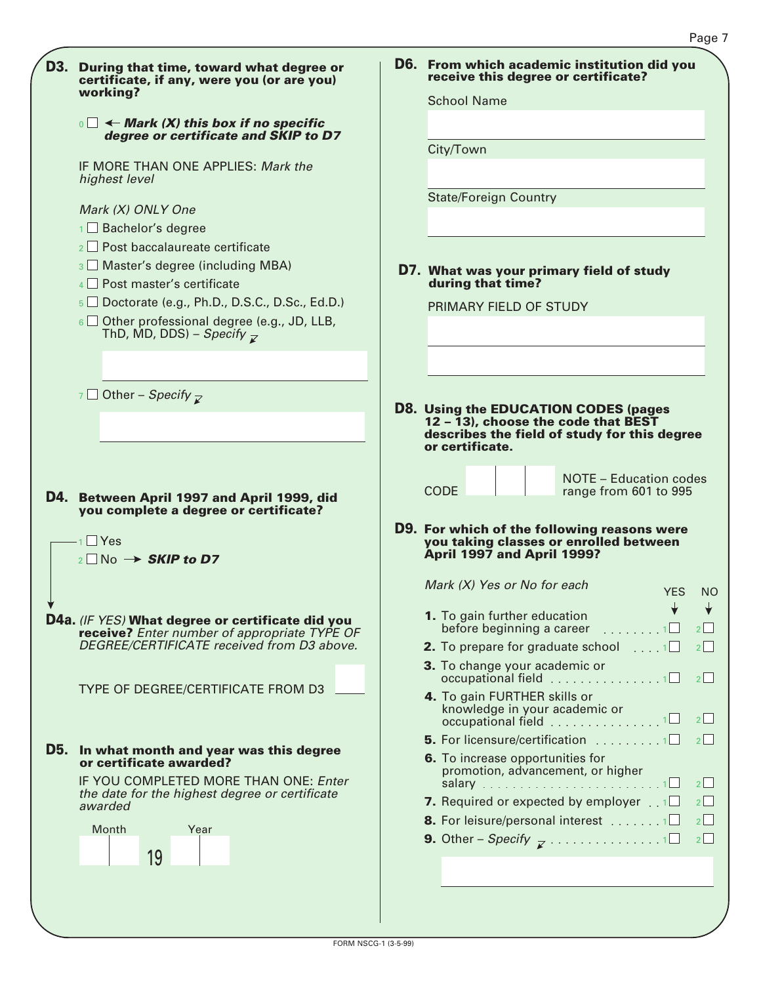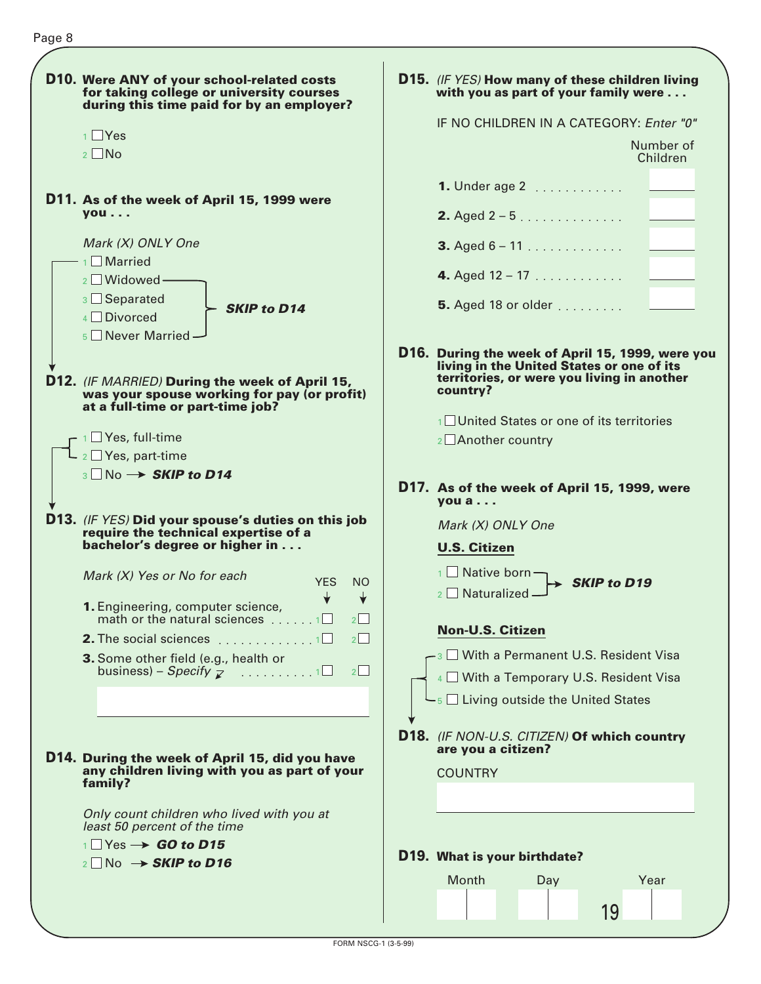

(IF YES) **How many of these children living D15. with you as part of your family were . . .**

#### IF NO CHILDREN IN A CATEGORY: Enter "0" Number of

|                            | Children |
|----------------------------|----------|
| 1. Under age 2             |          |
| <b>2.</b> Aged $2 - 5$     |          |
| <b>3.</b> Aged $6 - 11$    |          |
| 4. Aged $12 - 17$          |          |
| <b>5.</b> Aged 18 or older |          |

**D16. During the week of April 15, 1999, were you living in the United States or one of its territories, or were you living in another**

> $1$  United States or one of its territories  $_2\square$  Another country

### **D17. As of the week of April 15, 1999, were**

Mark (X) ONLY One

#### **U.S. Citizen**

 $\overline{1}$  Native born **SKIP to D19**

#### **Non-U.S. Citizen**

 $\cdot$ <sub>3</sub>  $\Box$  With a Permanent U.S. Resident Visa  $4 \square$  With a Temporary U.S. Resident Visa

 $\cdot$ <sub>5</sub>  $\Box$  Living outside the United States

(IF NON-U.S. CITIZEN) **Of which country D18. are you a citizen?**

#### **D19. What is your birthdate?**

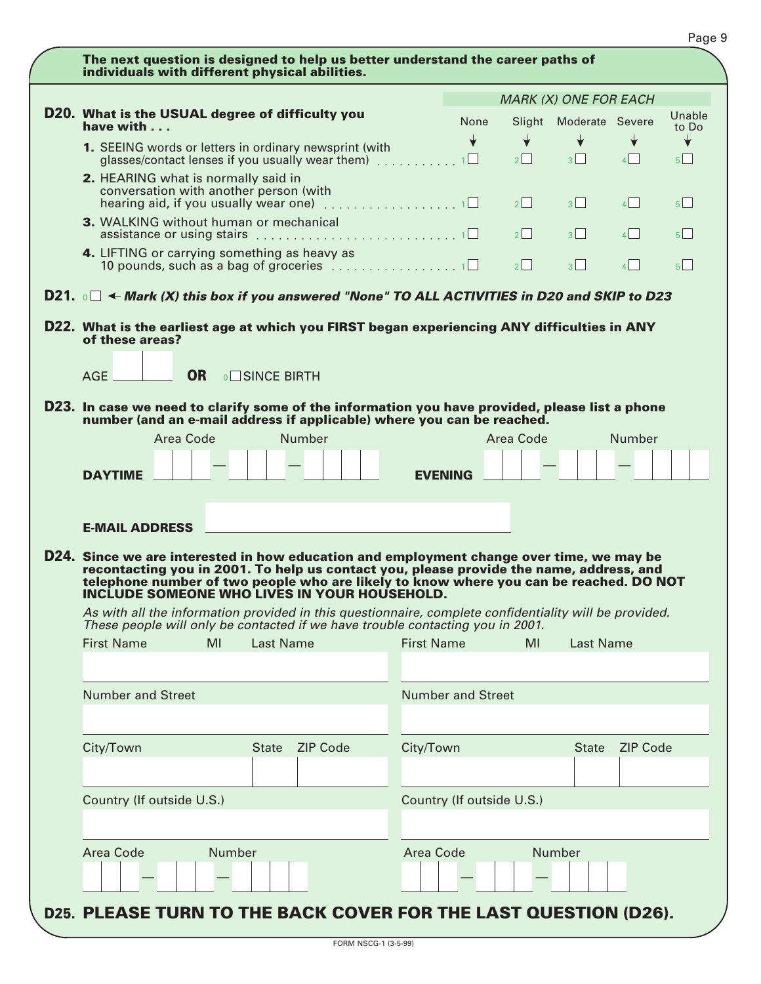| The next question is designed to help us better understand the career paths of                                                                                                           |                           |              |                              |                 |                                |
|------------------------------------------------------------------------------------------------------------------------------------------------------------------------------------------|---------------------------|--------------|------------------------------|-----------------|--------------------------------|
| individuals with different physical abilities.                                                                                                                                           |                           |              |                              |                 |                                |
|                                                                                                                                                                                          |                           |              | <b>MARK (X) ONE FOR EACH</b> |                 |                                |
| D20. What is the USUAL degree of difficulty you                                                                                                                                          | None                      |              | Slight Moderate Severe       |                 | Unable                         |
| have with $\ldots$                                                                                                                                                                       | ♦                         | $\downarrow$ | ╈                            |                 | to Do                          |
| 1. SEEING words or letters in ordinary newsprint (with<br>glasses/contact lenses if you usually wear them) $\ldots$ 1 $\square$                                                          |                           | $2\Box$      | $3\Box$                      | 4               | $5$                            |
| 2. HEARING what is normally said in                                                                                                                                                      |                           |              |                              |                 |                                |
| conversation with another person (with                                                                                                                                                   |                           | 2            | 3                            | 4               | $5\Box$                        |
| 3. WALKING without human or mechanical                                                                                                                                                   |                           |              |                              |                 |                                |
|                                                                                                                                                                                          |                           | $2\Box$      | 3                            | 4               | $5$   $\overline{\phantom{0}}$ |
| 4. LIFTING or carrying something as heavy as<br>10 pounds, such as a bag of groceries 1                                                                                                  |                           | $2\Box$      | 3 <sup>1</sup>               | 4               | 5 <sup>1</sup>                 |
| D21. $\circ$ $\Box$ $\leftarrow$ Mark (X) this box if you answered "None" TO ALL ACTIVITIES in D20 and SKIP to D23                                                                       |                           |              |                              |                 |                                |
| D22. What is the earliest age at which you FIRST began experiencing ANY difficulties in ANY                                                                                              |                           |              |                              |                 |                                |
| of these areas?                                                                                                                                                                          |                           |              |                              |                 |                                |
|                                                                                                                                                                                          |                           |              |                              |                 |                                |
| <b>OR</b><br><b>AGE</b><br><b>OLSINCE BIRTH</b>                                                                                                                                          |                           |              |                              |                 |                                |
| D23. In case we need to clarify some of the information you have provided, please list a phone                                                                                           |                           |              |                              |                 |                                |
| number (and an e-mail address if applicable) where you can be reached.                                                                                                                   |                           |              |                              |                 |                                |
| <b>Number</b><br>Area Code                                                                                                                                                               |                           | Area Code    |                              | Number          |                                |
|                                                                                                                                                                                          |                           |              |                              |                 |                                |
| <b>DAYTIME</b>                                                                                                                                                                           | <b>EVENING</b>            |              |                              |                 |                                |
|                                                                                                                                                                                          |                           |              |                              |                 |                                |
|                                                                                                                                                                                          |                           |              |                              |                 |                                |
| <b>E-MAIL ADDRESS</b>                                                                                                                                                                    |                           |              |                              |                 |                                |
|                                                                                                                                                                                          |                           |              |                              |                 |                                |
| D24. Since we are interested in how education and employment change over time, we may be                                                                                                 |                           |              |                              |                 |                                |
| recontacting you in 2001. To help us contact you, please provide the name, address, and<br>telephone number of two people who are likely to know where you can be reached. DO NOT        |                           |              |                              |                 |                                |
| INCLUDE SOMEONE WHO LIVES IN YOUR HOUSEHOLD.                                                                                                                                             |                           |              |                              |                 |                                |
| As with all the information provided in this questionnaire, complete confidentiality will be provided.<br>These people will only be contacted if we have trouble contacting you in 2001. |                           |              |                              |                 |                                |
| <b>First Name</b><br>MI<br><b>Last Name</b>                                                                                                                                              | <b>First Name</b>         | MI           | <b>Last Name</b>             |                 |                                |
|                                                                                                                                                                                          |                           |              |                              |                 |                                |
|                                                                                                                                                                                          |                           |              |                              |                 |                                |
| <b>Number and Street</b>                                                                                                                                                                 | <b>Number and Street</b>  |              |                              |                 |                                |
|                                                                                                                                                                                          |                           |              |                              |                 |                                |
| <b>ZIP Code</b><br><b>State</b>                                                                                                                                                          |                           |              |                              | <b>ZIP Code</b> |                                |
| City/Town<br>City/Town                                                                                                                                                                   |                           |              | <b>State</b>                 |                 |                                |
|                                                                                                                                                                                          |                           |              |                              |                 |                                |
| Country (If outside U.S.)                                                                                                                                                                | Country (If outside U.S.) |              |                              |                 |                                |
|                                                                                                                                                                                          |                           |              |                              |                 |                                |
|                                                                                                                                                                                          |                           |              |                              |                 |                                |
| Area Code<br>Number                                                                                                                                                                      | Area Code                 |              | Number                       |                 |                                |
|                                                                                                                                                                                          |                           |              |                              |                 |                                |
| <b>D25. PLEASE TURN TO THE BACK COVER FOR THE LAST QUESTION (D26).</b>                                                                                                                   |                           |              |                              |                 |                                |

#### Page 9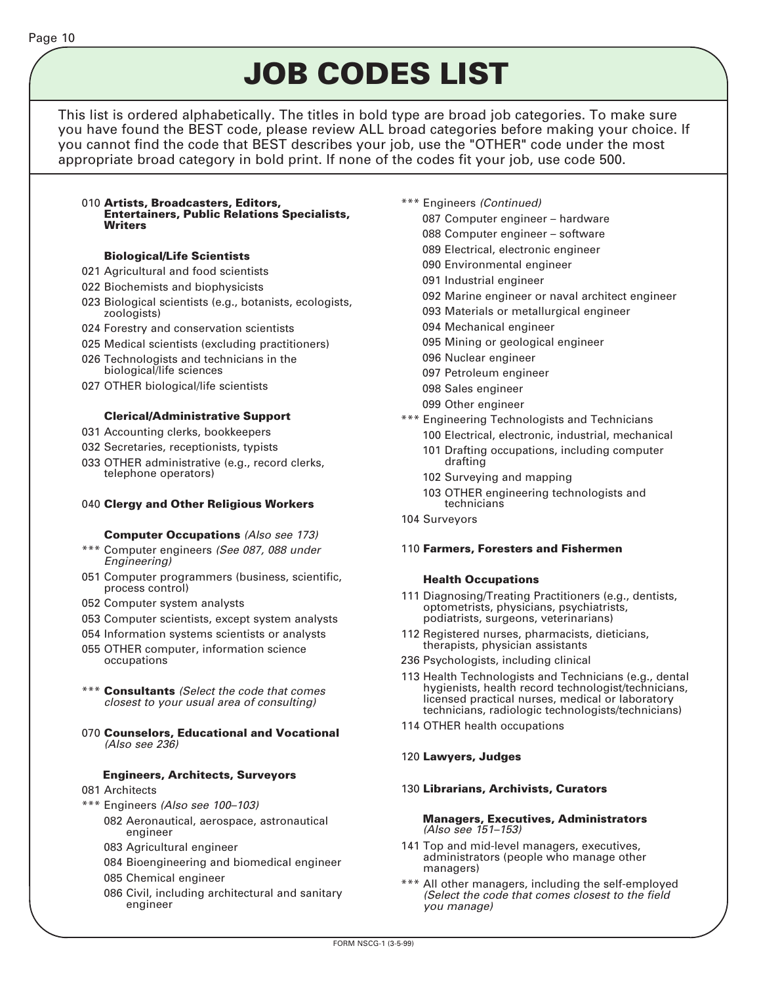## **JOB CODES LIST**

This list is ordered alphabetically. The titles in bold type are broad job categories. To make sure you have found the BEST code, please review ALL broad categories before making your choice. If you cannot find the code that BEST describes your job, use the "OTHER" code under the most appropriate broad category in bold print. If none of the codes fit your job, use code 500.

#### 010 **Artists, Broadcasters, Editors, Entertainers, Public Relations Specialists, Writers**

#### **Biological/Life Scientists**

- 021 Agricultural and food scientists
- 022 Biochemists and biophysicists
- 023 Biological scientists (e.g., botanists, ecologists, zoologists)
- 024 Forestry and conservation scientists
- 025 Medical scientists (excluding practitioners)
- 026 Technologists and technicians in the biological/life sciences
- 027 OTHER biological/life scientists

#### **Clerical/Administrative Support**

- 031 Accounting clerks, bookkeepers
- 032 Secretaries, receptionists, typists
- 033 OTHER administrative (e.g., record clerks, telephone operators)

#### 040 **Clergy and Other Religious Workers**

#### **Computer Occupations** (Also see 173)

- \*\*\* Computer engineers (See 087, 088 under Engineering)
- 051 Computer programmers (business, scientific, process control)
- 052 Computer system analysts
- 053 Computer scientists, except system analysts
- 054 Information systems scientists or analysts
- 055 OTHER computer, information science occupations
- \*\*\* **Consultants** (Select the code that comes closest to your usual area of consulting)
- 070 **Counselors, Educational and Vocational** (Also see 236)

#### **Engineers, Architects, Surveyors**

- 081 Architects
- \*\*\* Engineers (Also see 100–103)
	- 082 Aeronautical, aerospace, astronautical engineer
	- 083 Agricultural engineer
	- 084 Bioengineering and biomedical engineer
	- 085 Chemical engineer
	- 086 Civil, including architectural and sanitary engineer
- \*\*\* Engineers (Continued)
	- 087 Computer engineer hardware
	- 088 Computer engineer software
	- 089 Electrical, electronic engineer
	- 090 Environmental engineer
	- 091 Industrial engineer
	- 092 Marine engineer or naval architect engineer
	- 093 Materials or metallurgical engineer
	- 094 Mechanical engineer
	- 095 Mining or geological engineer
	- 096 Nuclear engineer
	- 097 Petroleum engineer
	- 098 Sales engineer
	- 099 Other engineer
- \*\*\* Engineering Technologists and Technicians 100 Electrical, electronic, industrial, mechanical
	- 101 Drafting occupations, including computer drafting
	- 102 Surveying and mapping
	- 103 OTHER engineering technologists and technicians
- 104 Surveyors

#### 110 **Farmers, Foresters and Fishermen**

#### **Health Occupations**

- 111 Diagnosing/Treating Practitioners (e.g., dentists, optometrists, physicians, psychiatrists, podiatrists, surgeons, veterinarians)
- 112 Registered nurses, pharmacists, dieticians, therapists, physician assistants
- 236 Psychologists, including clinical
- 113 Health Technologists and Technicians (e.g., dental hygienists, health record technologist/technicians, licensed practical nurses, medical or laboratory technicians, radiologic technologists/technicians)
- 114 OTHER health occupations
- 120 **Lawyers, Judges**

#### 130 **Librarians, Archivists, Curators**

#### **Managers, Executives, Administrators** (Also see 151–153)

- 141 Top and mid-level managers, executives, administrators (people who manage other managers)
- \*\*\* All other managers, including the self-employed (Select the code that comes closest to the field you manage)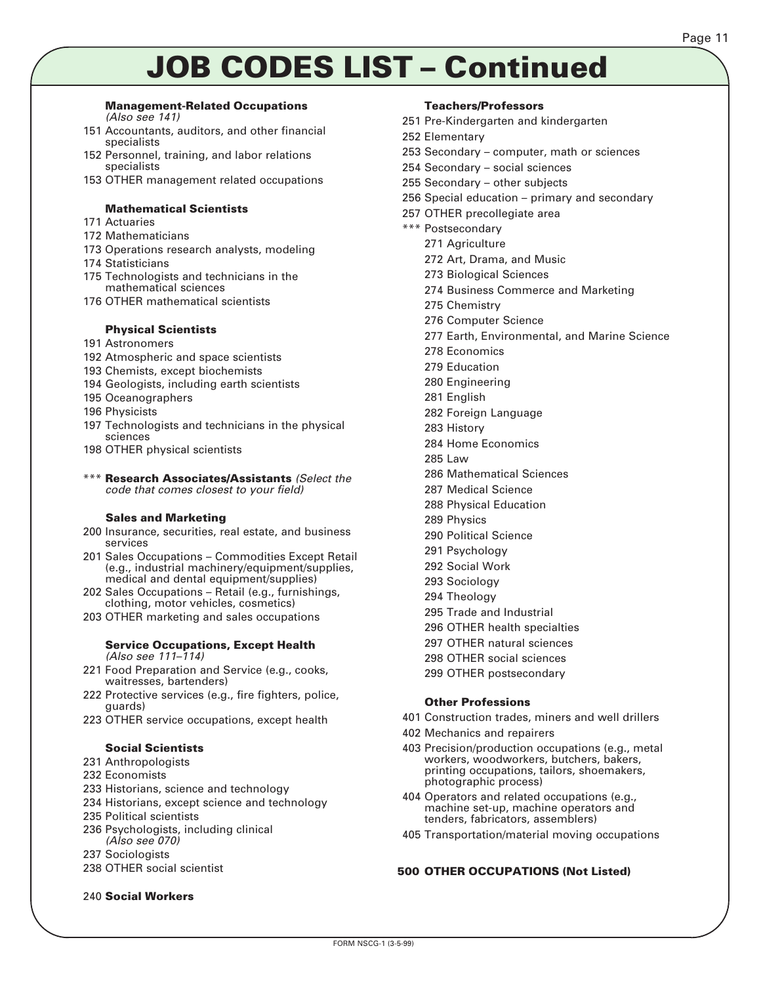### **JOB CODES LIST – Continued**

#### **Management-Related Occupations**

(Also see 141)

- 151 Accountants, auditors, and other financial specialists
- 152 Personnel, training, and labor relations specialists
- 153 OTHER management related occupations

#### **Mathematical Scientists**

- 171 Actuaries
- 172 Mathematicians
- 173 Operations research analysts, modeling
- 174 Statisticians
- 175 Technologists and technicians in the mathematical sciences
- 176 OTHER mathematical scientists

#### **Physical Scientists**

#### 191 Astronomers

- 192 Atmospheric and space scientists
- 193 Chemists, except biochemists
- 194 Geologists, including earth scientists
- 195 Oceanographers
- 196 Physicists
- 197 Technologists and technicians in the physical sciences
- 198 OTHER physical scientists
- \*\*\* **Research Associates/Assistants** (Select the code that comes closest to your field)

#### **Sales and Marketing**

- 200 Insurance, securities, real estate, and business services
- 201 Sales Occupations Commodities Except Retail (e.g., industrial machinery/equipment/supplies, medical and dental equipment/supplies)
- 202 Sales Occupations Retail (e.g., furnishings, clothing, motor vehicles, cosmetics)
- 203 OTHER marketing and sales occupations

#### **Service Occupations, Except Health** (Also see 111–114)

- 221 Food Preparation and Service (e.g., cooks, waitresses, bartenders)
- 222 Protective services (e.g., fire fighters, police, guards)
- 223 OTHER service occupations, except health

#### **Social Scientists**

- 231 Anthropologists
- 232 Economists
- 233 Historians, science and technology
- 234 Historians, except science and technology
- 235 Political scientists
- 236 Psychologists, including clinical (Also see 070)
- 237 Sociologists
- 238 OTHER social scientist

#### 240 **Social Workers**

#### **Teachers/Professors**

- 251 Pre-Kindergarten and kindergarten
- 252 Elementary
- 253 Secondary computer, math or sciences
- 254 Secondary social sciences
- 255 Secondary other subjects
- 256 Special education primary and secondary
- 257 OTHER precollegiate area

#### \*\*\* Postsecondary

- 271 Agriculture
- 272 Art, Drama, and Music
- 273 Biological Sciences
- 274 Business Commerce and Marketing
- 275 Chemistry
- 276 Computer Science
- 277 Earth, Environmental, and Marine Science
- 278 Economics
- 279 Education
- 280 Engineering
- 281 English
- 282 Foreign Language
- 283 History
- 284 Home Economics
- 285 Law
- 286 Mathematical Sciences
- 287 Medical Science
- 288 Physical Education
- 289 Physics
- 290 Political Science
- 291 Psychology
- 292 Social Work
- 293 Sociology
- 294 Theology
- 295 Trade and Industrial
- 296 OTHER health specialties
- 297 OTHER natural sciences
- 298 OTHER social sciences
- 
- 299 OTHER postsecondary

#### **Other Professions**

- 401 Construction trades, miners and well drillers
- 402 Mechanics and repairers
- 403 Precision/production occupations (e.g., metal workers, woodworkers, butchers, bakers, printing occupations, tailors, shoemakers, photographic process)
- 404 Operators and related occupations (e.g., machine set-up, machine operators and tenders, fabricators, assemblers)
- 405 Transportation/material moving occupations

#### **500 OTHER OCCUPATIONS (Not Listed)**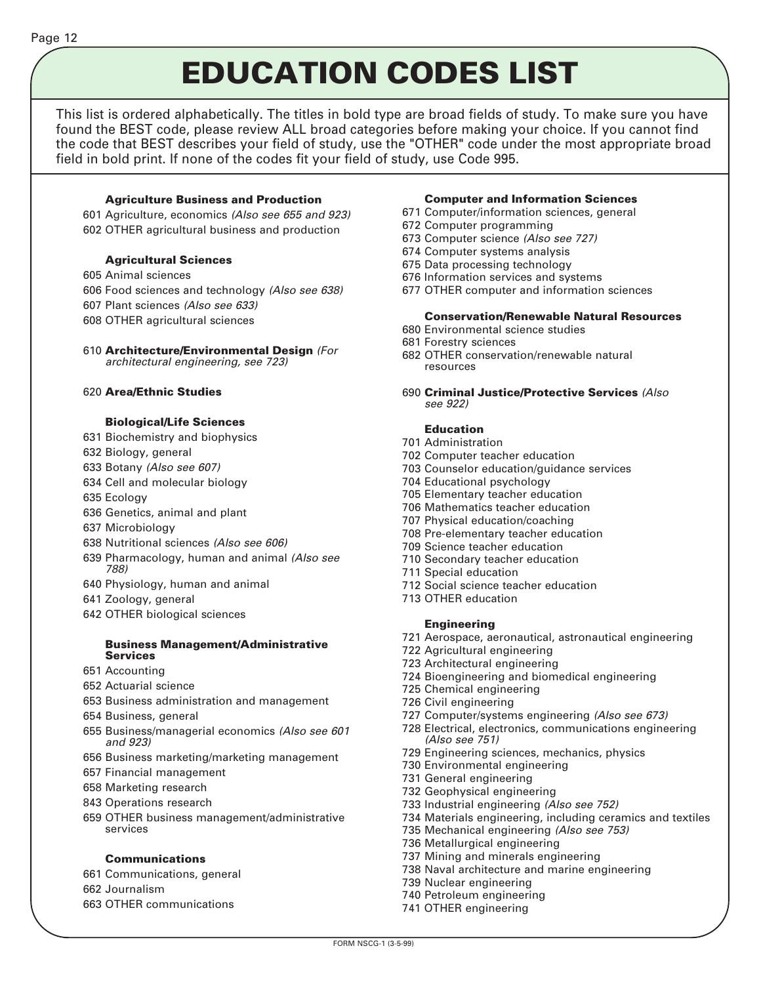## **EDUCATION CODES LIST**

This list is ordered alphabetically. The titles in bold type are broad fields of study. To make sure you have found the BEST code, please review ALL broad categories before making your choice. If you cannot find the code that BEST describes your field of study, use the "OTHER" code under the most appropriate broad field in bold print. If none of the codes fit your field of study, use Code 995.

#### **Agriculture Business and Production**

601 Agriculture, economics (Also see 655 and 923) 602 OTHER agricultural business and production

#### **Agricultural Sciences**

- 605 Animal sciences
- 606 Food sciences and technology (Also see 638)
- 607 Plant sciences (Also see 633)
- 608 OTHER agricultural sciences

#### 610 **Architecture/Environmental Design** (For architectural engineering, see 723)

#### 620 **Area/Ethnic Studies**

#### **Biological/Life Sciences**

- 631 Biochemistry and biophysics
- 632 Biology, general
- 633 Botany (Also see 607)
- 634 Cell and molecular biology
- 635 Ecology
- 636 Genetics, animal and plant
- 637 Microbiology
- 638 Nutritional sciences (Also see 606)
- 639 Pharmacology, human and animal (Also see 788)
- 640 Physiology, human and animal
- 641 Zoology, general
- 642 OTHER biological sciences

#### **Business Management/Administrative Services**

- 651 Accounting
- 652 Actuarial science
- 653 Business administration and management
- 654 Business, general
- 655 Business/managerial economics (Also see 601 and 923)
- 656 Business marketing/marketing management
- 657 Financial management
- 658 Marketing research
- 843 Operations research
- 659 OTHER business management/administrative services

#### **Communications**

- 661 Communications, general
- 662 Journalism
- 663 OTHER communications

#### **Computer and Information Sciences**

- 671 Computer/information sciences, general
- 672 Computer programming
- 673 Computer science (Also see 727)
- 674 Computer systems analysis
- 675 Data processing technology
- 676 Information services and systems
- 677 OTHER computer and information sciences

#### **Conservation/Renewable Natural Resources**

- 680 Environmental science studies
- 681 Forestry sciences
- 682 OTHER conservation/renewable natural resources
- 690 **Criminal Justice/Protective Services** (Also see 922)

#### **Education**

- 701 Administration
- 702 Computer teacher education
- 703 Counselor education/guidance services
- 704 Educational psychology
- 705 Elementary teacher education
- 706 Mathematics teacher education
- 707 Physical education/coaching
- 708 Pre-elementary teacher education
- 709 Science teacher education
- 710 Secondary teacher education
- 711 Special education
- 712 Social science teacher education
- 713 OTHER education

#### **Engineering**

- 721 Aerospace, aeronautical, astronautical engineering
- 722 Agricultural engineering
- 723 Architectural engineering
- 724 Bioengineering and biomedical engineering
- 725 Chemical engineering
- 726 Civil engineering
- 727 Computer/systems engineering (Also see 673)
- 728 Electrical, electronics, communications engineering (Also see 751)
- 729 Engineering sciences, mechanics, physics
- 730 Environmental engineering
- 731 General engineering
- 732 Geophysical engineering
- 733 Industrial engineering (Also see 752)
- 734 Materials engineering, including ceramics and textiles
- 735 Mechanical engineering (Also see 753)
- 736 Metallurgical engineering
- 737 Mining and minerals engineering
- 738 Naval architecture and marine engineering
- 739 Nuclear engineering
- 740 Petroleum engineering
- 741 OTHER engineering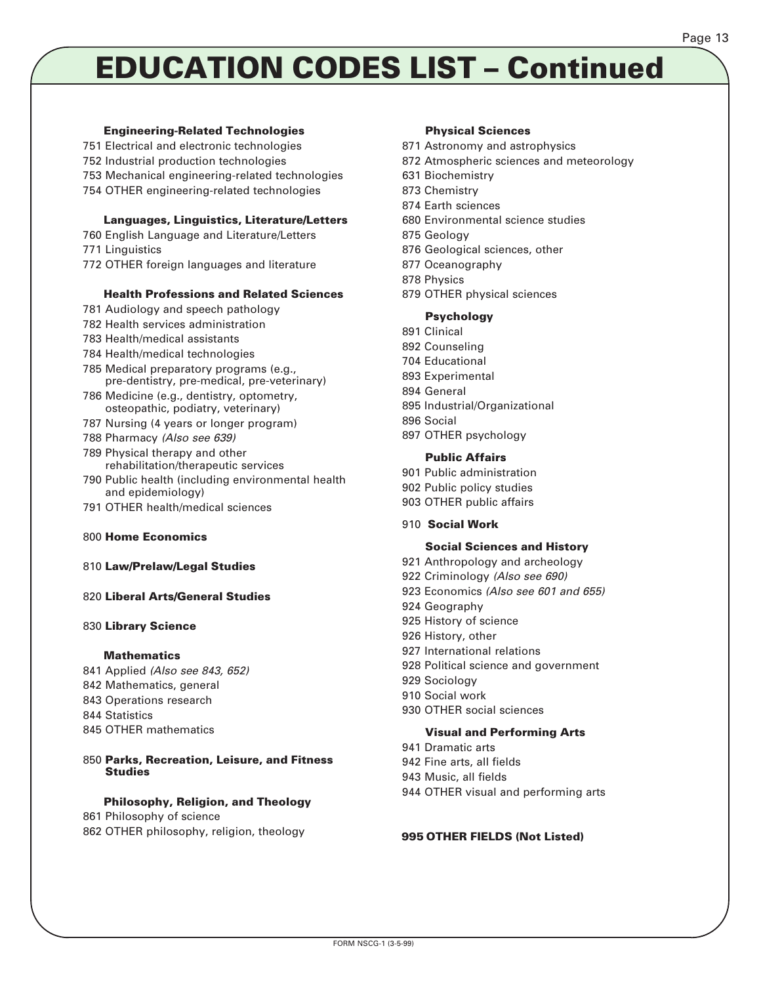### **EDUCATION CODES LIST – Continued**

#### **Engineering-Related Technologies**

- 751 Electrical and electronic technologies
- 752 Industrial production technologies
- 753 Mechanical engineering-related technologies
- 754 OTHER engineering-related technologies

#### **Languages, Linguistics, Literature/Letters**

- 760 English Language and Literature/Letters
- 771 Linguistics
- 772 OTHER foreign languages and literature

#### **Health Professions and Related Sciences**

- 781 Audiology and speech pathology
- 782 Health services administration
- 783 Health/medical assistants
- 784 Health/medical technologies
- 785 Medical preparatory programs (e.g., pre-dentistry, pre-medical, pre-veterinary)
- 786 Medicine (e.g., dentistry, optometry, osteopathic, podiatry, veterinary)
- 787 Nursing (4 years or longer program)
- 788 Pharmacy (Also see 639)
- 789 Physical therapy and other rehabilitation/therapeutic services
- 790 Public health (including environmental health and epidemiology)
- 791 OTHER health/medical sciences

#### 800 **Home Economics**

- 810 **Law/Prelaw/Legal Studies**
- 820 **Liberal Arts/General Studies**

#### 830 **Library Science**

#### **Mathematics**

- 841 Applied (Also see 843, 652) 842 Mathematics, general 843 Operations research 844 Statistics
- 845 OTHER mathematics
- 850 **Parks, Recreation, Leisure, and Fitness Studies**

#### **Philosophy, Religion, and Theology**

861 Philosophy of science 862 OTHER philosophy, religion, theology

#### **Physical Sciences**

- 871 Astronomy and astrophysics
- 872 Atmospheric sciences and meteorology
- 631 Biochemistry
- 873 Chemistry
- 874 Earth sciences
- 680 Environmental science studies
- 875 Geology
- 876 Geological sciences, other
- 877 Oceanography
- 878 Physics
- 879 OTHER physical sciences

#### **Psychology**

- 891 Clinical
- 892 Counseling
- 704 Educational
- 893 Experimental
- 894 General
- 895 Industrial/Organizational
- 896 Social
- 897 OTHER psychology

#### **Public Affairs**

- 901 Public administration
- 902 Public policy studies
- 903 OTHER public affairs
- 910 **Social Work**

#### **Social Sciences and History**

- 921 Anthropology and archeology
- 922 Criminology (Also see 690)
- 923 Economics (Also see 601 and 655)
- 924 Geography
- 925 History of science
- 926 History, other
- 927 International relations
- 928 Political science and government
- 929 Sociology
- 910 Social work
- 930 OTHER social sciences

#### **Visual and Performing Arts**

- 941 Dramatic arts
- 942 Fine arts, all fields
- 943 Music, all fields
- 944 OTHER visual and performing arts

#### **995 OTHER FIELDS (Not Listed)**